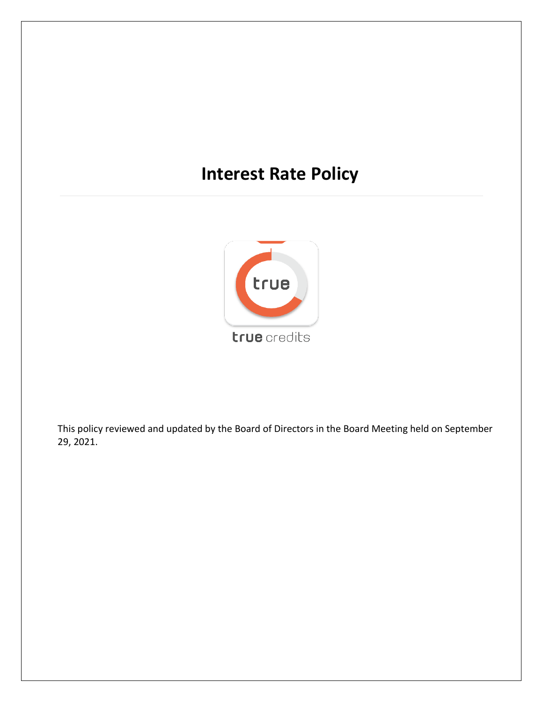# **Interest Rate Policy**



This policy reviewed and updated by the Board of Directors in the Board Meeting held on September 29, 2021.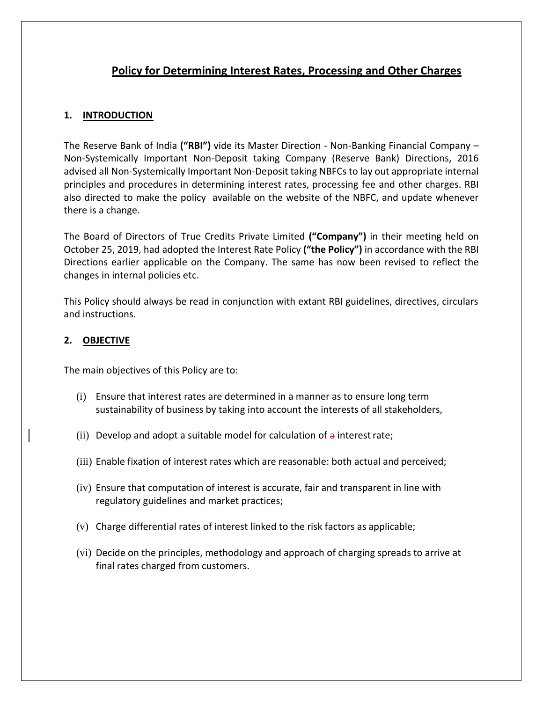## **Policy for Determining Interest Rates, Processing and Other Charges**

## **1. INTRODUCTION**

The Reserve Bank of India **("RBI")** vide its Master Direction - Non-Banking Financial Company – Non-Systemically Important Non-Deposit taking Company (Reserve Bank) Directions, 2016 advised all Non-Systemically Important Non-Deposit taking NBFCs to lay out appropriate internal principles and procedures in determining interest rates, processing fee and other charges. RBI also directed to make the policy available on the website of the NBFC, and update whenever there is a change.

The Board of Directors of True Credits Private Limited **("Company")** in their meeting held on October 25, 2019, had adopted the Interest Rate Policy **("the Policy")** in accordance with the RBI Directions earlier applicable on the Company. The same has now been revised to reflect the changes in internal policies etc.

This Policy should always be read in conjunction with extant RBI guidelines, directives, circulars and instructions.

#### **2. OBJECTIVE**

The main objectives of this Policy are to:

- (i) Ensure that interest rates are determined in a manner as to ensure long term sustainability of business by taking into account the interests of all stakeholders,
- (ii) Develop and adopt a suitable model for calculation of  $\alpha$  interest rate;
- (iii) Enable fixation of interest rates which are reasonable: both actual and perceived;
- (iv) Ensure that computation of interest is accurate, fair and transparent in line with regulatory guidelines and market practices;
- (v) Charge differential rates of interest linked to the risk factors as applicable;
- (vi) Decide on the principles, methodology and approach of charging spreads to arrive at final rates charged from customers.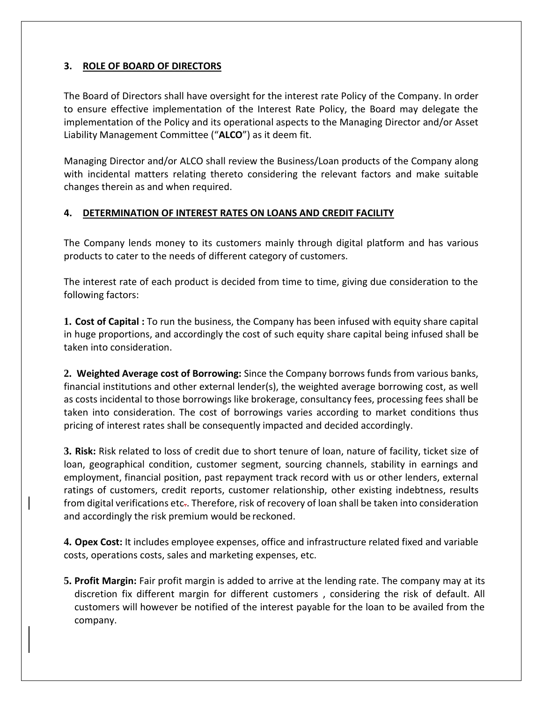## **3. ROLE OF BOARD OF DIRECTORS**

The Board of Directors shall have oversight for the interest rate Policy of the Company. In order to ensure effective implementation of the Interest Rate Policy, the Board may delegate the implementation of the Policy and its operational aspects to the Managing Director and/or Asset Liability Management Committee ("**ALCO**") as it deem fit.

Managing Director and/or ALCO shall review the Business/Loan products of the Company along with incidental matters relating thereto considering the relevant factors and make suitable changes therein as and when required.

#### **4. DETERMINATION OF INTEREST RATES ON LOANS AND CREDIT FACILITY**

The Company lends money to its customers mainly through digital platform and has various products to cater to the needs of different category of customers.

The interest rate of each product is decided from time to time, giving due consideration to the following factors:

**1. Cost of Capital :** To run the business, the Company has been infused with equity share capital in huge proportions, and accordingly the cost of such equity share capital being infused shall be taken into consideration.

**2. Weighted Average cost of Borrowing:** Since the Company borrows funds from various banks, financial institutions and other external lender(s), the weighted average borrowing cost, as well as costs incidental to those borrowings like brokerage, consultancy fees, processing fees shall be taken into consideration. The cost of borrowings varies according to market conditions thus pricing of interest rates shall be consequently impacted and decided accordingly.

**3. Risk:** Risk related to loss of credit due to short tenure of loan, nature of facility, ticket size of loan, geographical condition, customer segment, sourcing channels, stability in earnings and employment, financial position, past repayment track record with us or other lenders, external ratings of customers, credit reports, customer relationship, other existing indebtness, results from digital verifications etc.. Therefore, risk of recovery of loan shall be taken into consideration and accordingly the risk premium would be reckoned.

**4. Opex Cost:** It includes employee expenses, office and infrastructure related fixed and variable costs, operations costs, sales and marketing expenses, etc.

**5. Profit Margin:** Fair profit margin is added to arrive at the lending rate. The company may at its discretion fix different margin for different customers , considering the risk of default. All customers will however be notified of the interest payable for the loan to be availed from the company.